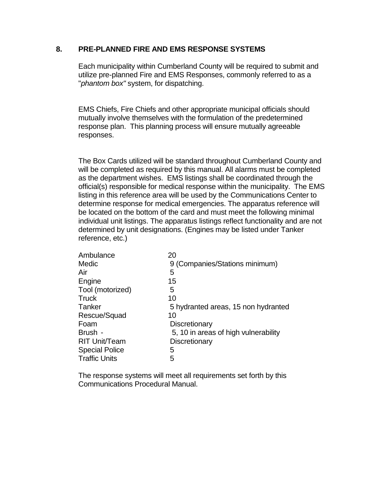### **8. PRE-PLANNED FIRE AND EMS RESPONSE SYSTEMS**

Each municipality within Cumberland County will be required to submit and utilize pre-planned Fire and EMS Responses, commonly referred to as a "*phantom box"* system, for dispatching.

EMS Chiefs, Fire Chiefs and other appropriate municipal officials should mutually involve themselves with the formulation of the predetermined response plan. This planning process will ensure mutually agreeable responses.

The Box Cards utilized will be standard throughout Cumberland County and will be completed as required by this manual. All alarms must be completed as the department wishes. EMS listings shall be coordinated through the official(s) responsible for medical response within the municipality. The EMS listing in this reference area will be used by the Communications Center to determine response for medical emergencies. The apparatus reference will be located on the bottom of the card and must meet the following minimal individual unit listings. The apparatus listings reflect functionality and are not determined by unit designations. (Engines may be listed under Tanker reference, etc.)

| Ambulance             | 20                                   |
|-----------------------|--------------------------------------|
| Medic                 | 9 (Companies/Stations minimum)       |
| Air                   | 5                                    |
| Engine                | 15                                   |
| Tool (motorized)      | 5                                    |
| <b>Truck</b>          | 10                                   |
| Tanker                | 5 hydranted areas, 15 non hydranted  |
| Rescue/Squad          | 10                                   |
| Foam                  | Discretionary                        |
| Brush -               | 5, 10 in areas of high vulnerability |
| <b>RIT Unit/Team</b>  | Discretionary                        |
| <b>Special Police</b> | 5                                    |
| <b>Traffic Units</b>  | 5                                    |
|                       |                                      |

The response systems will meet all requirements set forth by this Communications Procedural Manual.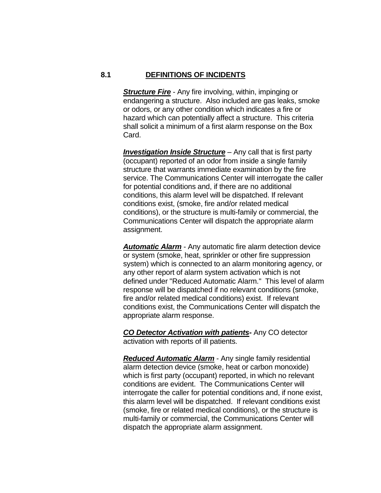#### **8.1 DEFINITIONS OF INCIDENTS**

**Structure Fire** - Any fire involving, within, impinging or endangering a structure. Also included are gas leaks, smoke or odors, or any other condition which indicates a fire or hazard which can potentially affect a structure. This criteria shall solicit a minimum of a first alarm response on the Box Card.

*Investigation Inside Structure* – Any call that is first party (occupant) reported of an odor from inside a single family structure that warrants immediate examination by the fire service. The Communications Center will interrogate the caller for potential conditions and, if there are no additional conditions, this alarm level will be dispatched. If relevant conditions exist, (smoke, fire and/or related medical conditions), or the structure is multi-family or commercial, the Communications Center will dispatch the appropriate alarm assignment.

*Automatic Alarm* - Any automatic fire alarm detection device or system (smoke, heat, sprinkler or other fire suppression system) which is connected to an alarm monitoring agency, or any other report of alarm system activation which is not defined under "Reduced Automatic Alarm." This level of alarm response will be dispatched if no relevant conditions (smoke, fire and/or related medical conditions) exist. If relevant conditions exist, the Communications Center will dispatch the appropriate alarm response.

*CO Detector Activation with patients-* Any CO detector activation with reports of ill patients.

*Reduced Automatic Alarm* - Any single family residential alarm detection device (smoke, heat or carbon monoxide) which is first party (occupant) reported, in which no relevant conditions are evident. The Communications Center will interrogate the caller for potential conditions and, if none exist, this alarm level will be dispatched. If relevant conditions exist (smoke, fire or related medical conditions), or the structure is multi-family or commercial, the Communications Center will dispatch the appropriate alarm assignment.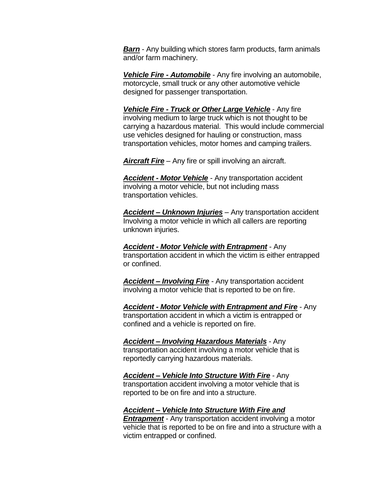*Barn* - Any building which stores farm products, farm animals and/or farm machinery.

*Vehicle Fire - Automobile* - Any fire involving an automobile, motorcycle, small truck or any other automotive vehicle designed for passenger transportation.

*Vehicle Fire - Truck or Other Large Vehicle* - Any fire involving medium to large truck which is not thought to be carrying a hazardous material. This would include commercial use vehicles designed for hauling or construction, mass transportation vehicles, motor homes and camping trailers.

*Aircraft Fire* – Any fire or spill involving an aircraft.

*Accident - Motor Vehicle* - Any transportation accident involving a motor vehicle, but not including mass transportation vehicles.

*Accident – Unknown Injuries* – Any transportation accident Involving a motor vehicle in which all callers are reporting unknown injuries.

*Accident - Motor Vehicle with Entrapment* - Any transportation accident in which the victim is either entrapped or confined.

*Accident – Involving Fire* - Any transportation accident involving a motor vehicle that is reported to be on fire.

*Accident - Motor Vehicle with Entrapment and Fire* - Any transportation accident in which a victim is entrapped or confined and a vehicle is reported on fire.

*Accident – Involving Hazardous Materials* - Any transportation accident involving a motor vehicle that is reportedly carrying hazardous materials.

*Accident – Vehicle Into Structure With Fire* - Any transportation accident involving a motor vehicle that is reported to be on fire and into a structure.

### *Accident – Vehicle Into Structure With Fire and*

*Entrapment* - Any transportation accident involving a motor vehicle that is reported to be on fire and into a structure with a victim entrapped or confined.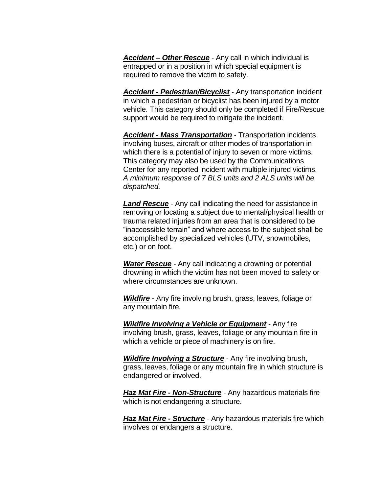*Accident – Other Rescue* - Any call in which individual is entrapped or in a position in which special equipment is required to remove the victim to safety.

*Accident - Pedestrian/Bicyclist* - Any transportation incident in which a pedestrian or bicyclist has been injured by a motor vehicle. This category should only be completed if Fire/Rescue support would be required to mitigate the incident.

*Accident - Mass Transportation* - Transportation incidents involving buses, aircraft or other modes of transportation in which there is a potential of injury to seven or more victims. This category may also be used by the Communications Center for any reported incident with multiple injured victims. *A minimum response of 7 BLS units and 2 ALS units will be dispatched.*

*Land Rescue* - Any call indicating the need for assistance in removing or locating a subject due to mental/physical health or trauma related injuries from an area that is considered to be "inaccessible terrain" and where access to the subject shall be accomplished by specialized vehicles (UTV, snowmobiles, etc.) or on foot.

*Water Rescue* - Any call indicating a drowning or potential drowning in which the victim has not been moved to safety or where circumstances are unknown.

*Wildfire* - Any fire involving brush, grass, leaves, foliage or any mountain fire.

*Wildfire Involving a Vehicle or Equipment* - Any fire involving brush, grass, leaves, foliage or any mountain fire in which a vehicle or piece of machinery is on fire.

*Wildfire Involving a Structure* - Any fire involving brush, grass, leaves, foliage or any mountain fire in which structure is endangered or involved.

*Haz Mat Fire - Non-Structure* - Any hazardous materials fire which is not endangering a structure.

*Haz Mat Fire - Structure* - Any hazardous materials fire which involves or endangers a structure.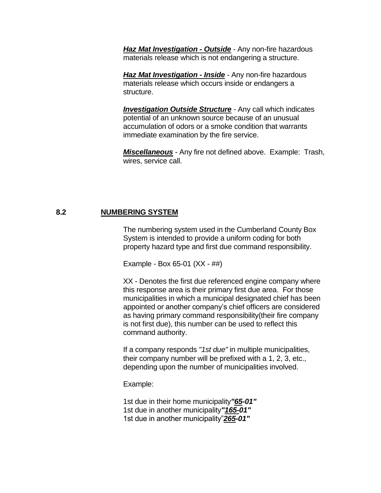*Haz Mat Investigation - Outside* - Any non-fire hazardous materials release which is not endangering a structure.

*Haz Mat Investigation - Inside* - Any non-fire hazardous materials release which occurs inside or endangers a structure.

*Investigation Outside Structure* - Any call which indicates potential of an unknown source because of an unusual accumulation of odors or a smoke condition that warrants immediate examination by the fire service.

*Miscellaneous* - Any fire not defined above. Example: Trash, wires, service call.

### **8.2 NUMBERING SYSTEM**

The numbering system used in the Cumberland County Box System is intended to provide a uniform coding for both property hazard type and first due command responsibility.

Example - Box 65-01 (XX - ##)

XX - Denotes the first due referenced engine company where this response area is their primary first due area. For those municipalities in which a municipal designated chief has been appointed or another company's chief officers are considered as having primary command responsibility(their fire company is not first due), this number can be used to reflect this command authority.

If a company responds *"1st due"* in multiple municipalities, their company number will be prefixed with a 1, 2, 3, etc., depending upon the number of municipalities involved.

Example:

1st due in their home municipality*"65-01"* 1st due in another municipality*"165-01"* 1st due in another municipality"*265-01"*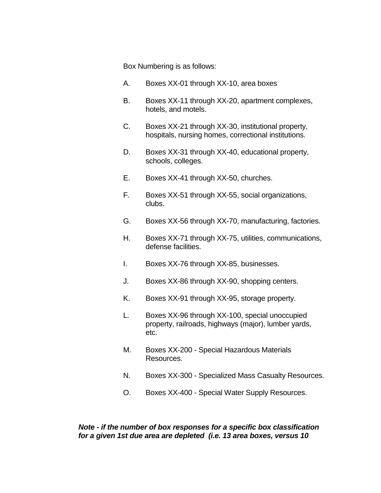Box Numbering is as follows:

- A. Boxes XX-01 through XX-10, area boxes
- B. Boxes XX-11 through XX-20, apartment complexes, hotels, and motels.
- C. Boxes XX-21 through XX-30, institutional property, hospitals, nursing homes, correctional institutions.
- D. Boxes XX-31 through XX-40, educational property, schools, colleges.
- E. Boxes XX-41 through XX-50, churches.
- F. Boxes XX-51 through XX-55, social organizations, clubs.
- G. Boxes XX-56 through XX-70, manufacturing, factories.
- H. Boxes XX-71 through XX-75, utilities, communications, defense facilities.
- I. Boxes XX-76 through XX-85, businesses.
- J. Boxes XX-86 through XX-90, shopping centers.
- K. Boxes XX-91 through XX-95, storage property.
- L. Boxes XX-96 through XX-100, special unoccupied property, railroads, highways (major), lumber yards, etc.
- M. Boxes XX-200 Special Hazardous Materials Resources.
- N. Boxes XX-300 Specialized Mass Casualty Resources.
- O. Boxes XX-400 Special Water Supply Resources.

## *Note - if the number of box responses for a specific box classification for a given 1st due area are depleted (i.e. 13 area boxes, versus 10*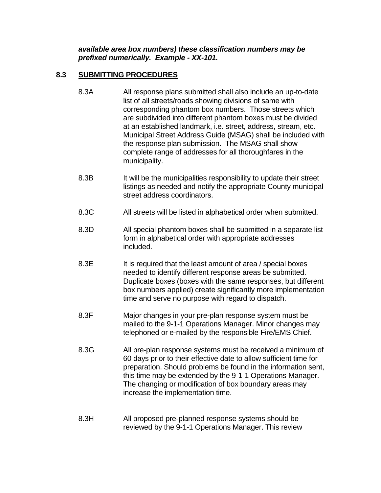*available area box numbers) these classification numbers may be prefixed numerically. Example - XX-101.*

# **8.3 SUBMITTING PROCEDURES**

- 8.3A All response plans submitted shall also include an up-to-date list of all streets/roads showing divisions of same with corresponding phantom box numbers. Those streets which are subdivided into different phantom boxes must be divided at an established landmark, i.e. street, address, stream, etc. Municipal Street Address Guide (MSAG) shall be included with the response plan submission. The MSAG shall show complete range of addresses for all thoroughfares in the municipality.
- 8.3B It will be the municipalities responsibility to update their street listings as needed and notify the appropriate County municipal street address coordinators.
- 8.3C All streets will be listed in alphabetical order when submitted.
- 8.3D All special phantom boxes shall be submitted in a separate list form in alphabetical order with appropriate addresses included.
- 8.3E It is required that the least amount of area / special boxes needed to identify different response areas be submitted. Duplicate boxes (boxes with the same responses, but different box numbers applied) create significantly more implementation time and serve no purpose with regard to dispatch.
- 8.3F Major changes in your pre-plan response system must be mailed to the 9-1-1 Operations Manager. Minor changes may telephoned or e-mailed by the responsible Fire/EMS Chief.
- 8.3G All pre-plan response systems must be received a minimum of 60 days prior to their effective date to allow sufficient time for preparation. Should problems be found in the information sent, this time may be extended by the 9-1-1 Operations Manager. The changing or modification of box boundary areas may increase the implementation time.
- 8.3H All proposed pre-planned response systems should be reviewed by the 9-1-1 Operations Manager. This review